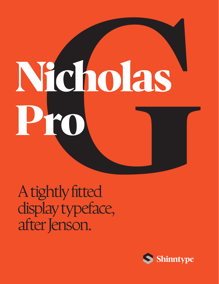# **Nicholas Pro Cholas**

A tightly fitted display typeface, after Jenson.

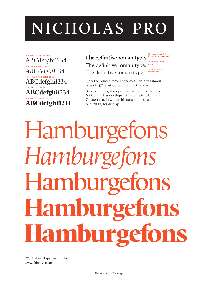# **NICHOLAS PRO**

nicholas pro regular ABCdefghi1234 nicholas pro italic *ABCdefghi1234* nicholas pro semi bold **ABCdefghi1234** nicholas pro bold **ABCdefghi1234** nicholas pro extra bold **ABCdefghi1234**

## The definitive roman type. The definitive roman type. The definitive roman type.

Text assembled from images of Jenson's work.

15 pt. Goodchild, tracked -10.

15 pt. Nicholas, tracked +50.

Only the printed record of Nicolas Jenson's famous type of 1476 exists, at around 14 pt. in size.

Because of this, it is open to many interpretations. Nick Shinn has developed it into the text family GOODCHILD, in which this paragraph is set, and NICHOLAS, for display.

Hamburgefons *Hamburgefons* **Hamburgefons Hamburgefons Hamburgefons**

©2017 Shinn Type Foundry Inc. www.shinntype.com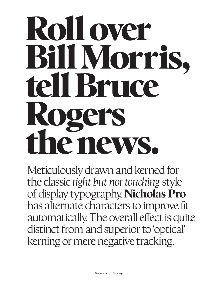# **Roll over Bill Morris, tell Bruce Rogers the news.**

Meticulously drawn and kerned for the classic *tight but not touching* style of display typography, **Nicholas Pro** has alternate characters to improve fit automatically. The overall effect is quite distinct from and superior to 'optical' kerning or mere negative tracking.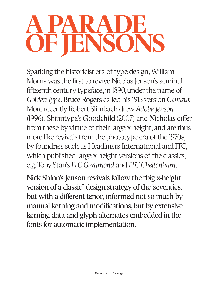# **A Parade of Jensons**

Sparking the historicist era of type design, William Morris was the first to revive Nicolas Jenson's seminal fifteenth century typeface, in 1890, under the name of *Golden Type*. Bruce Rogers called his 1915 version *Centaur.* More recently Robert Slimbach drew *Adobe Jenson* (1996). Shinntype's **Goodchild** (2007) and **Nicholas** differ from these by virtue of their large x-height, and are thus more like revivals from the phototype era of the 1970s, by foundries such as Headliners International and ITC, which published large x-height versions of the classics, e.g. Tony Stan's *ITC Garamond* and *ITC Cheltenham.*

**Nick Shinn's Jenson revivals follow the "big x-height version of a classic" design strategy of the 'seventies, but with a different tenor, informed not so much by manual kerning and modifications, but by extensive kerning data and glyph alternates embedded in the fonts for automatic implementation.**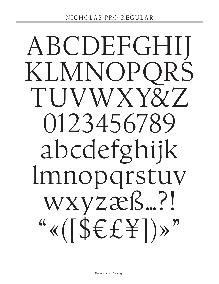# ABCDEFGHIJ KLMNOPQRS TUVWXY&Z 0123456789 abcdefghijk lmnopqrstuv wxyzæß…?!  $``$ «([\$ $\\epsilon$ £\ $\pm$ ])»"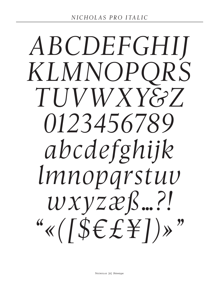# *ABCDEFGHIJ KLMNOPQRS TUVWXY&Z 0123456789 abcdefghijk lmnopqrstuv wxyzæß…?! "«([\$€£¥])»"*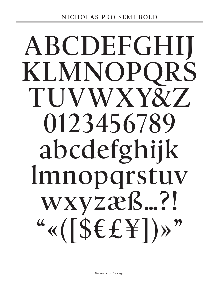# **ABCDEFGHIJ KLMNOPQRS TUVWXY&Z 0123456789 abcdefghijk lmnopqrstuv wxyzæß…?! "«([\$€£¥])»"**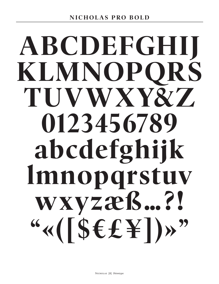# **ABCDEFGHIJ KLMNOPQRS TUVWXY& Z 0123456789 abcdefghijk lmnopqrstuv wxyzæß…?! "«([\$€£¥])»"**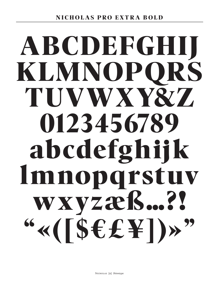# **ABCDEFGHIJ KLM NOPQRS TUVWXY& Z 01 2 34 5 6789 abcdefghij k lmnopqrstuv wxyzæß…? ! "«([\$€£¥])»"**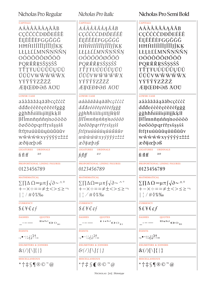| <b>CAPITALS</b>                                                                                                                                                                                        | <b>CAPITALS</b>                                                                                                                                                                  |                                                                                                                                                                                                                                              |
|--------------------------------------------------------------------------------------------------------------------------------------------------------------------------------------------------------|----------------------------------------------------------------------------------------------------------------------------------------------------------------------------------|----------------------------------------------------------------------------------------------------------------------------------------------------------------------------------------------------------------------------------------------|
| AÁÀÂÄÃÅĄĀĂB<br>CÇČĆĊĈDĐĎEÉÈÊ<br><b>ËEĒĚĔĖFGĢĞĠĜ</b><br>HĦĤIIÍÎĨIJĨĬJĴKĶ<br>LŁĻĿĽĹMNÑŅŃŇN<br><i><b>OÓÒÔÖÕØŐŌŎ</b></i><br>PQRŔŘŖSŠŞSŚŜ<br>TŤŢŦUÚÙÛÜŲŪŮ<br>ŰŬŨVWŴŴŴŴX<br>YÝŸŶŶZŽŻŹ<br><b>ÆIJŒÐÞƏß ÄÖÜ</b> | AÁÀÂÄÃÅĄĀĂB<br>CÇČĆĊĈDĐĎEÉÈÊ<br>ËEĒĚĔĖFGĢĞĠĜ<br>HĀĤIIIÌIIĪĬJĴKĶ<br>LŁĻĿĽĹMNÑŅŃŇN<br><i>OÓÒÔÖÕØŐŌŎ</i><br>PQRŔŘŖSŠŞSŚŜ<br>TŤŢŦUÚÙÛÜŲŪŮ<br>ŰŬŨVWŴŴŴŴX<br>YÝŸŶŶZŽŻŹ<br>ÆIJŒÐÞƏß ÄOU | <b>CAPITALS</b><br>AÁÀÂÄÃÅĄĀĂB<br>CÇČĆĊĈDĐĎEÉÈÊ<br>ËEĒĚĔĖFGGĞĠĜ<br>HĦĤIİÍÎĨĬĪĬĬĴKĶ<br>LŁĻĿĽĹMNÑŅŃŇN<br>OÓÒÔÖÕØŐŌŎ<br>PQRŔŘŖSŠŞSŚŜ<br>TŤŢŦUÚÙÛÜŲŪŮ<br>ŰŬŨVWŴŴŴŴX<br>YÝŸŶŶZŽŻŹ<br><b>ÆIJŒÐÞƏß ÄÖÜ</b>                                          |
| <b>LOWER CASE</b>                                                                                                                                                                                      | <b>LOWER CASE</b>                                                                                                                                                                | <b>LOWER CASE</b>                                                                                                                                                                                                                            |
| aáàâäãåąāăbcçčćċĉ                                                                                                                                                                                      | aáàâäãåaāăbcçčćċĉ                                                                                                                                                                | aáàâäãåąāăbcçčćċĉ                                                                                                                                                                                                                            |
| dddeéèêëeēěěefgģğ                                                                                                                                                                                      | dďđeéèêëeēěěěfgģğ                                                                                                                                                                | dďđeéèêëęēěěéfgģğ                                                                                                                                                                                                                            |
| ġĝhħĥiíìîiıįīĩijĵkķlł                                                                                                                                                                                  | ġĝhħĥiíìîïıjīĩĭjĵkķlł                                                                                                                                                            | ġĝhħĥiíìîiıjīĭĭjĵkķlł                                                                                                                                                                                                                        |
| ļŀľĺmnñņńňŋ'noóòôö                                                                                                                                                                                     | ļŀľĺmnñņńňŋ'noóòôö                                                                                                                                                               | <i>l·l'imnnnnnnnnoódôö</i>                                                                                                                                                                                                                   |
| õøőōŏpqrŕřŗsšşşśŝ                                                                                                                                                                                      | õøőōöpqrŕřŗsšşşśŝ                                                                                                                                                                | õøőōŏpqrŕřŗsšşşśŝ                                                                                                                                                                                                                            |
| ftťtŧuúùûüyūůűŭũv                                                                                                                                                                                      | ftťtŧuúùûüųūůűŭŭv                                                                                                                                                                | ftťttuúuûuūūűűŭūv                                                                                                                                                                                                                            |
| WŴŴŴŴXYÝŸŶỳZŽŻŹ                                                                                                                                                                                        | $w\hat{w}\hat{w}\hat{w}\hat{w}xy\hat{y}\hat{y}\hat{y}z\hat{z}\hat{z}\hat{z}$                                                                                                     | wŵŵŵŵxyýÿŷỳzžżź                                                                                                                                                                                                                              |
| æðijœþəß                                                                                                                                                                                               | $x\delta$ ijæ $p\delta\beta$                                                                                                                                                     | æðijœþəß                                                                                                                                                                                                                                     |
| <b>LIGATURES</b>                                                                                                                                                                                       | <b>LIGATURES</b>                                                                                                                                                                 | <b>LIGATURES</b>                                                                                                                                                                                                                             |
| <b>ORDINALS</b>                                                                                                                                                                                        | <b>ORDINALS</b>                                                                                                                                                                  | <b>ORDINALS</b>                                                                                                                                                                                                                              |
| aо                                                                                                                                                                                                     | a o                                                                                                                                                                              | a o                                                                                                                                                                                                                                          |
| fi fl ff                                                                                                                                                                                               | fiflff                                                                                                                                                                           | fi flff                                                                                                                                                                                                                                      |
| PROPORTIONAL LINING FIGURES                                                                                                                                                                            | PROPORTIONAL LINING FIGURES                                                                                                                                                      | PROPORTIONAL LINING FIGURES                                                                                                                                                                                                                  |
| 0123456789                                                                                                                                                                                             | 0123456789                                                                                                                                                                       | 0123456789                                                                                                                                                                                                                                   |
| <b>MATHEMATICAL</b>                                                                                                                                                                                    | <b>MATHEMATICAL</b>                                                                                                                                                              | <b>MATHEMATICAL</b>                                                                                                                                                                                                                          |
| $\sum \prod \Delta \Omega \infty \mu \pi \int \sqrt{\partial} \sim \wedge^{\circ}$                                                                                                                     | $\sum \prod \Delta \Omega \in \mathcal{U} \pi \int \sqrt{\partial \gamma} \gamma$                                                                                                | $\sum \prod \Delta \Omega \approx \mu \pi \int \sqrt{\partial} \sim \Delta$ °                                                                                                                                                                |
| +−×÷=≈≠±<>≤≥¬                                                                                                                                                                                          | +−×÷=≈≠±<>≤≥¬                                                                                                                                                                    | +ー×÷=≈≠±<>≤≥ㄱ                                                                                                                                                                                                                                |
| $ \ \   \ \ \frac{1}{2} \ \ / \ \# \ \ \ 0 \ \ %$ %0                                                                                                                                                   | $\frac{1}{2}$ / # $\sqrt{2\%}$ %                                                                                                                                                 | $\frac{1}{2}$ / $\#\lozenge\%$ %                                                                                                                                                                                                             |
| <b>CURRENCY</b>                                                                                                                                                                                        | <b>CURRENCY</b>                                                                                                                                                                  | <b>CURRENCY</b>                                                                                                                                                                                                                              |
| $$E$ \form{i} $\epsilon$ $\epsilon$ $\epsilon$ $\epsilon$                                                                                                                                              | $$E \neq \epsilon \in \mathcal{E}$                                                                                                                                               | $$E$ \{\operation{bmatrix}\$ \end{bmatrix}\$ \end{bmatrix}\$ \end{bmatrix}\$ \end{bmatrix}\$ \end{bmatrix}\$ \end{bmatrix}\$ \end{bmatrix}\$ \end{bmatrix}\$ \end{bmatrix}\$ \end{bmatrix}\$ \end{bmatrix}\$ \end{bmatrix}\$ \end{bmatrix}\$ |
| <b>DASHES</b>                                                                                                                                                                                          | <b>DASHES</b>                                                                                                                                                                    | <b>DASHES</b>                                                                                                                                                                                                                                |
| <b>QUOTES</b>                                                                                                                                                                                          | <b>QUOTES</b>                                                                                                                                                                    | <b>QUOTES</b>                                                                                                                                                                                                                                |
| $\text{max}_{\mathcal{A}}\left\langle \mathcal{A}\right\rangle \left\langle \mathcal{A}\right\rangle \left\langle \mathcal{A}\right\rangle _{\mathcal{B}},$                                            | $^{\prime\prime\prime\prime\prime\prime\prime\prime\prime}$ $\leftrightarrow$ $\leftrightarrow$ $\rightarrow$ $\rightarrow$ $\rightarrow$                                        | $\frac{m(\omega n)}{\langle \omega \rangle} \langle \omega \rangle$                                                                                                                                                                          |
| <b>POINTS</b>                                                                                                                                                                                          | <b>POINTS</b>                                                                                                                                                                    | <b>POINTS</b>                                                                                                                                                                                                                                |
| $\ldots$ isis::••.                                                                                                                                                                                     | $\cdot$ , • $\cdot$ ; ¿ ; ?!                                                                                                                                                     |                                                                                                                                                                                                                                              |
| <b>DELIMITERS &amp; JOINERS</b>                                                                                                                                                                        | <b>DELIMITERS &amp; JOINERS</b>                                                                                                                                                  | <b>DELIMITERS &amp; JOINERS</b>                                                                                                                                                                                                              |
| $\mathcal{X}(Z)[\setminus \{\cdot\}]$                                                                                                                                                                  | $\mathcal{S}(Z)[\setminus] \setminus \set$                                                                                                                                       |                                                                                                                                                                                                                                              |
| <b>MISCELLANEOUS</b>                                                                                                                                                                                   | <b>MISCELLANEOUS</b>                                                                                                                                                             | <b>MISCELLANEOUS</b>                                                                                                                                                                                                                         |
| $*$ † $\sharp$ $\mathcal{S}$ ¶ $\mathbb{R}$ $\mathbb{C}$ ™ $\omega$                                                                                                                                    | $*$ † $\ddagger$ $\frac{1}{2}$ $\mathbb{C}$ $\mathbb{C}$ $\mathbb{C}$ $^{\mathbb{N}}$ $\mathbb{Q}$                                                                               | *† $\sharp$ $\S \P \otimes \heartsuit$ $\mathbb{Z}$ $\emptyset$                                                                                                                                                                              |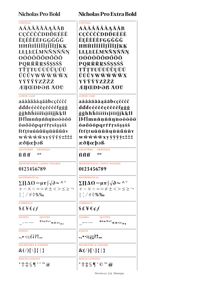| <b>Nicholas Pro Bold</b>                                                                                                                                  | <b>Nicholas Pro Extra Bold</b>                                                                                                                                                    |  |
|-----------------------------------------------------------------------------------------------------------------------------------------------------------|-----------------------------------------------------------------------------------------------------------------------------------------------------------------------------------|--|
| <b>CAPITALS</b>                                                                                                                                           | <b>CAPITALS</b>                                                                                                                                                                   |  |
| AÁÀÂÄÃÅĄĀĂB                                                                                                                                               | AÁÀÂÄÃÅĄĀĀB                                                                                                                                                                       |  |
| CÇČĆĊĈDĐĎEÉÈÊ                                                                                                                                             | CÇČĆĊĈDĐĎEÉÈÊ                                                                                                                                                                     |  |
| <b>ËEĒĔĔĖFGĢĞĠĜ</b>                                                                                                                                       | <b>ËEĒĔĔĖFGĢĞĠĜ</b>                                                                                                                                                               |  |
| HĦĤIİÍÌĨĬJĨĬJĴKĶ                                                                                                                                          | HĦĤIİÍÌÎÏĮĪĬJĴKĶ                                                                                                                                                                  |  |
| LŁĻĿĽĹMNÑŅŃŇN                                                                                                                                             | LŁĻĿĽĹMNÑŅŃŇN                                                                                                                                                                     |  |
| OÓÒÔÖÕØŐŌŎ                                                                                                                                                | <b>OÓÒÔÖÕØŐŌŎ</b>                                                                                                                                                                 |  |
| PQRŔŘŖSŠŞŞŚŜ                                                                                                                                              | PQRŔŘŖSŠŞSŚŜ                                                                                                                                                                      |  |
| TŤŢŦUÚÙÛÜŲŪŮ                                                                                                                                              | TŤŢŦUÚÙÛÜŲŪŮ                                                                                                                                                                      |  |
| ŰŬŨVWŴŴŴŴX                                                                                                                                                | ŰŬŨVWŴŴŴŴX                                                                                                                                                                        |  |
| YÝŸŶŶZŽŻŹ                                                                                                                                                 | YÝŸŶŶZŽŽŹ                                                                                                                                                                         |  |
| <b>ÆIJŒÐÞƏß AOU</b>                                                                                                                                       | <b>ÆIJŒÐÞƏß AOU</b>                                                                                                                                                               |  |
| <b>LOWER CASE</b>                                                                                                                                         | <b>LOWER CASE</b>                                                                                                                                                                 |  |
| aáàâäãåąāăbcçčćċĉ                                                                                                                                         | aáàâäãåąāăbcçčćċĉ                                                                                                                                                                 |  |
| dďđeéèêëçēěěéfgġğ                                                                                                                                         | dďdeéèêëçēěěéfgġğ                                                                                                                                                                 |  |
| ġĝhħĥiíìîïıjīĭĭjĵkķlł                                                                                                                                     | ġĝhħĥiíìîïıjīĭĭjĵkķlł                                                                                                                                                             |  |
| Įŀľĺmnñņńňŋ'noóòôö                                                                                                                                        | Įŀľĺmnñņńňŋnoóòôö                                                                                                                                                                 |  |
| õøőōŏpqrŕřŗsšşşśŝ                                                                                                                                         | õøőōŏpqrŕřŗsšşşśŝ                                                                                                                                                                 |  |
| ftťttuúùûüyūůűŭũv                                                                                                                                         | ftťțtuúùûüyūůűŭŭv                                                                                                                                                                 |  |
| wŵŵŵŵxyýÿŷỳzžżź                                                                                                                                           | wŵŵŵŵxyýÿŷỳzžżź                                                                                                                                                                   |  |
| æðijæþəß                                                                                                                                                  | æðijæþəß                                                                                                                                                                          |  |
| <b>LIGATURES</b>                                                                                                                                          | <b>LIGATURES</b>                                                                                                                                                                  |  |
| <b>ORDINALS</b>                                                                                                                                           | <b>ORDINALS</b>                                                                                                                                                                   |  |
| a o                                                                                                                                                       | a o                                                                                                                                                                               |  |
| fi fl ff                                                                                                                                                  | fi fl ff                                                                                                                                                                          |  |
| PROPORTIONAL LINING FIGURES                                                                                                                               | PROPORTIONAL LINING FIGURES                                                                                                                                                       |  |
| 0123456789                                                                                                                                                | 0123456789                                                                                                                                                                        |  |
| <b>MATHEMATICAL</b><br>$\sum \prod \Delta \Omega \approx \mu \pi \int \sqrt{\partial} \sim \Delta$ °<br>+-x÷=≈≠±<>≤≥¬<br>$\frac{1}{2}$ / # $\lozenge$ % ‰ | <b>MATHEMATICAL</b><br>$\Sigma \Pi \Delta \Omega \approx \mu \pi / \sqrt{\partial} \sim \Delta$ °<br>+ - x ÷ = =≠±<> < ≥ ¬<br>$\frac{1}{2}$ / # $\lozenge$ % ‰<br><b>CURRENCY</b> |  |
| <b>CURRENCY</b><br>$$$ £¥€¢f                                                                                                                              | $$$ £¥€¢f                                                                                                                                                                         |  |
| <b>DASHES</b>                                                                                                                                             | <b>DASHES</b>                                                                                                                                                                     |  |
| <b>QUOTES</b>                                                                                                                                             | <b>QUOTES</b>                                                                                                                                                                     |  |
| $\frac{\text{max}}{\text{max}}$                                                                                                                           | $\frac{m(\omega, \omega)}{m(\omega, \omega)}$                                                                                                                                     |  |
| <b>POINTS</b>                                                                                                                                             | <b>POINTS</b>                                                                                                                                                                     |  |
| $, \bullet \cdot :; \in \{? \}$                                                                                                                           | .,•·:;¿¡?!                                                                                                                                                                        |  |
| <b>DELIMITERS &amp; JOINERS</b>                                                                                                                           | <b>DELIMITERS &amp; JOINERS</b>                                                                                                                                                   |  |
| $\mathcal{X}(I) \setminus \{ \cdot \}$                                                                                                                    | $\mathcal{R}(X) \cap \{ \} \}$                                                                                                                                                    |  |
| <b>MISCELLANEOUS</b><br>$*$ † $\sharp$ s¶<br>$^{\circ}$ $^{\circ}$ TM $\omega$                                                                            | <b>MISCELLANEOUS</b><br>*†‡§¶®©™@                                                                                                                                                 |  |

Nicholas [10] *Shinntype* Nicholas [11] *Shinntype*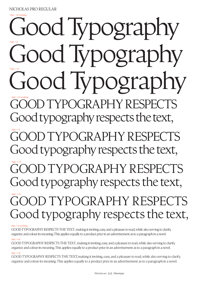72pt./-10 tracking

72pt./+0

## YPOGRAPHY RESPECTS Good typography respects the text, OD TYPOGRAPHY RESPECTS Good typography respects the text, TYPOGRAPHY RESPECTS Good typography respects the text, Good Typography 36pt./-10 tracking 36pt./+0 36pt./+10 36pt./+25 72pt./+10

Good Typography

Good Typography

# OOD TYPOGRAPHY RESPECTS Good typography respects the text,

#### $10$ pt./ $+0$  tracking

GOOD TYPOGRAPHY RESPECTS THE TEXT, making it inviting, easy, and a pleasure to read, while also serving to clarify, organize and colour its meaning. This applies equally to a product price in an advertisement as to a paragraph in a novel.  $10pt. / +10$ 

GOOD TYPOGRAPHY RESPECTS THE TEXT, making it inviting, easy, and a pleasure to read, while also serving to clarify, organize and colour its meaning. This applies equally to a product price in an advertisement as to a paragraph in a novel.

### 10pt./+25

GOOD TYPOGRAPHY RESPECTS THE TEXT, making it inviting, easy, and a pleasure to read, while also serving to clarify, organize and colour its meaning. This applies equally to a product price in an advertisement as to a paragraph in a novel.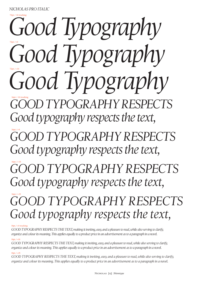## *Nicholas Pro italic*

72pt./-10 tracking

# *Good Typography Good Typography Good Typography* 36pt./-10 tracking 72pt./+0 72pt./+10

*Goodtypography respects Good typography respects the text,*

*Good typography respects Good typography respects the text,* 36pt./+0

*Good typography respEcts Good typography respects the text,* 36pt./+10

## *Good typography respects Good typography respects the text,* 36pt./+25

#### 10pt./+0 tracking

*Good typography respects the text, making it inviting, easy, and a pleasure to read, while also serving to clarify, organize and colour its meaning. This applies equally to a product price in an advertisement as to a paragraph in a novel.* 

#### $10pt. / +10$

*Good typography respects the text, making it inviting, easy, and a pleasure to read, while also serving to clarify, organize and colour its meaning. This applies equally to a product price in an advertisement as to a paragraph in a novel.* 

#### 10pt./+25

*Good typography respects the text, making it inviting, easy, and a pleasure to read, while also serving to clarify, organize and colour its meaning. This applies equally to a product price in an advertisement as to a paragraph in a novel.*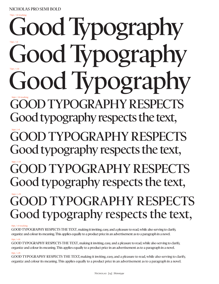72pt./-10 tracking

**Good typography respects Good typography respects the text, Good Typography Good Typography Good Typography** 36pt./-10 tracking 72pt./+0 72pt./+10

**Good typography respects Good typography respects the text,**  36pt./+0 36pt./+10

**Good typography respEcts Good typography respects the text,**

# $GOOD$  TYPOGRAPHY RESPEC **Good typography respects the text,**

#### 10pt./+0 tracking

**Good typography respects the text, making it inviting, easy, and a pleasure to read, while also serving to clarify, organize and colour its meaning. This applies equally to a product price in an advertisement as to a paragraph in a novel.**   $10pt. / +10$ 

**Good typography respects the text, making it inviting, easy, and a pleasure to read, while also serving to clarify, organize and colour its meaning. This applies equally to a product price in an advertisement as to a paragraph in a novel.** 

#### 10pt./+25

**Good typography respects the text, making it inviting, easy, and a pleasure to read, while also serving to clarify, organize and colour its meaning. This applies equally to a product price in an advertisement as to a paragraph in a novel.**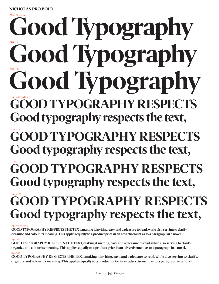## **Good typography respects Good typography respects the text, Good typography respects Good typography respects the text,** GOOD TYPOGRAPHY RES **Good typography respects the text, Good Typography Good Typography** Good Typography 36pt./-10 tracking 36pt./+0 72pt./-10 tracking 72pt./+0

# GOOD TYPOGRAPHY RESPECTED TYPOGRAPHY **Good typography respects the text,**

#### 10pt./+0 tracking

**Nicholas Pro bold**

**Good typography respects the text,making it inviting, easy, and a pleasure to read, while also serving to clarify, organize and colour its meaning. This applies equally to a product price in an advertisement as to a paragraph in a novel.**  $10pt.$ /+10

**Good typography respects the text, making it inviting, easy, and a pleasure to read, while also serving to clarify, organize and colour its meaning. This applies equally to a product price in an advertisement as to a paragraph in a novel.**

#### 10pt./+25

**Good typography respects the text, making it inviting, easy, and a pleasure to read, while also serving to clarify, organize and colour its meaning. This applies equally to a product price in an advertisement as to a paragraph in a novel.**